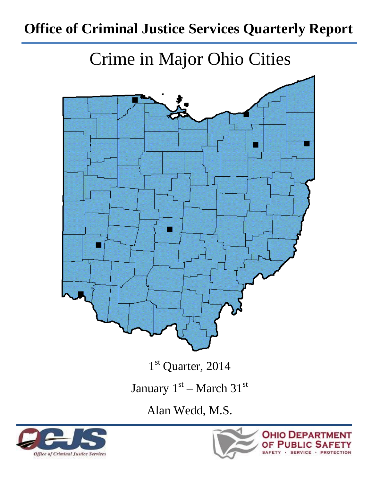# **Office of Criminal Justice Services Quarterly Report**

Crime in Major Ohio Cities



1<sup>st</sup> Quarter, 2014

January  $1<sup>st</sup>$  – March  $31<sup>st</sup>$ 

Alan Wedd, M.S.



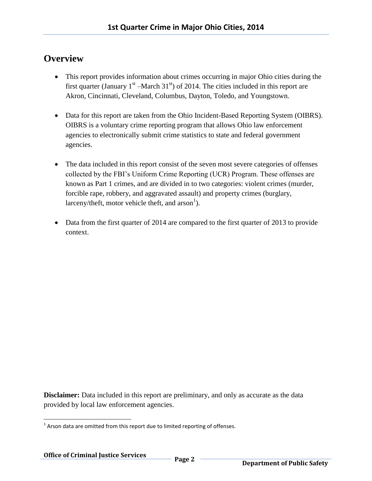### **Overview**

- This report provides information about crimes occurring in major Ohio cities during the first quarter (January  $1<sup>st</sup>$  –March 31<sup>st</sup>) of 2014. The cities included in this report are Akron, Cincinnati, Cleveland, Columbus, Dayton, Toledo, and Youngstown.
- Data for this report are taken from the Ohio Incident-Based Reporting System (OIBRS). OIBRS is a voluntary crime reporting program that allows Ohio law enforcement agencies to electronically submit crime statistics to state and federal government agencies.
- The data included in this report consist of the seven most severe categories of offenses collected by the FBI's Uniform Crime Reporting (UCR) Program. These offenses are known as Part 1 crimes, and are divided in to two categories: violent crimes (murder, forcible rape, robbery, and aggravated assault) and property crimes (burglary, larceny/theft, motor vehicle theft, and  $arson<sup>1</sup>$ ).
- Data from the first quarter of 2014 are compared to the first quarter of 2013 to provide context.

**Disclaimer:** Data included in this report are preliminary, and only as accurate as the data provided by local law enforcement agencies.

l  $1$  Arson data are omitted from this report due to limited reporting of offenses.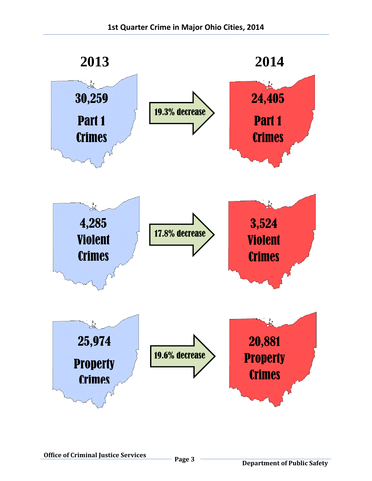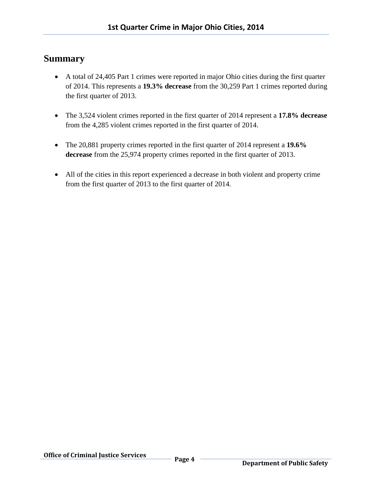#### **Summary**

- A total of 24,405 Part 1 crimes were reported in major Ohio cities during the first quarter of 2014. This represents a **19.3% decrease** from the 30,259 Part 1 crimes reported during the first quarter of 2013.
- The 3,524 violent crimes reported in the first quarter of 2014 represent a **17.8% decrease** from the 4,285 violent crimes reported in the first quarter of 2014.
- The 20,881 property crimes reported in the first quarter of 2014 represent a **19.6% decrease** from the 25,974 property crimes reported in the first quarter of 2013.
- All of the cities in this report experienced a decrease in both violent and property crime from the first quarter of 2013 to the first quarter of 2014.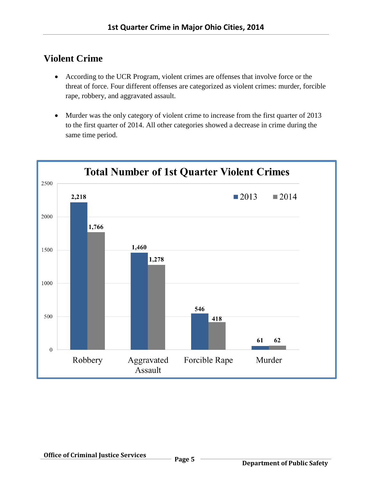## **Violent Crime**

- According to the UCR Program, violent crimes are offenses that involve force or the threat of force. Four different offenses are categorized as violent crimes: murder, forcible rape, robbery, and aggravated assault.
- Murder was the only category of violent crime to increase from the first quarter of 2013 to the first quarter of 2014. All other categories showed a decrease in crime during the same time period.

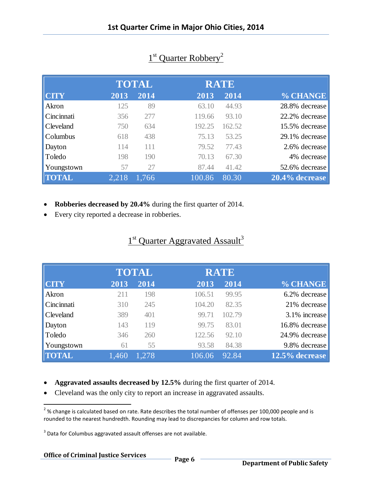|                  |       | <b>TOTAL</b> |        | <b>RATE</b> |                |
|------------------|-------|--------------|--------|-------------|----------------|
| <b>CITY</b>      | 2013  | 2014         | 2013   | 2014        | % CHANGE       |
| Akron            | 125   | 89           | 63.10  | 44.93       | 28.8% decrease |
| Cincinnati       | 356   | 277          | 119.66 | 93.10       | 22.2% decrease |
| <b>Cleveland</b> | 750   | 634          | 192.25 | 162.52      | 15.5% decrease |
| Columbus         | 618   | 438          | 75.13  | 53.25       | 29.1% decrease |
| Dayton           | 114   | 111          | 79.52  | 77.43       | 2.6% decrease  |
| Toledo           | 198   | 190          | 70.13  | 67.30       | 4% decrease    |
| Youngstown       | 57    | 27           | 87.44  | 41.42       | 52.6% decrease |
| <b>TOTAL</b>     | 2.218 | 1,766        | 100.86 | 80.30       | 20.4% decrease |

## 1<sup>st</sup> Quarter Robbery<sup>2</sup>

- **Robberies decreased by 20.4%** during the first quarter of 2014.
- Every city reported a decrease in robberies.

### 1<sup>st</sup> Quarter Aggravated Assault<sup>3</sup>

|              | <b>TOTAL</b> |       | <b>RATE</b> |        |                |
|--------------|--------------|-------|-------------|--------|----------------|
| <b>CITY</b>  | 2013         | 2014  | 2013        | 2014   | % CHANGE       |
| Akron        | 211          | 198   | 106.51      | 99.95  | 6.2% decrease  |
| Cincinnati   | 310          | 245   | 104.20      | 82.35  | 21% decrease   |
| Cleveland    | 389          | 401   | 99.71       | 102.79 | 3.1% increase  |
| Dayton       | 143          | 119   | 99.75       | 83.01  | 16.8% decrease |
| Toledo       | 346          | 260   | 122.56      | 92.10  | 24.9% decrease |
| Youngstown   | 61           | 55    | 93.58       | 84.38  | 9.8% decrease  |
| <b>TOTAL</b> | 1,460        | 1,278 | 106.06      | 92.84  | 12.5% decrease |

- **Aggravated assaults decreased by 12.5%** during the first quarter of 2014.
- Cleveland was the only city to report an increase in aggravated assaults.

 $\overline{a}$ 

 $^{2}$ % change is calculated based on rate. Rate describes the total number of offenses per 100,000 people and is rounded to the nearest hundredth. Rounding may lead to discrepancies for column and row totals.

 $3$  Data for Columbus aggravated assault offenses are not available.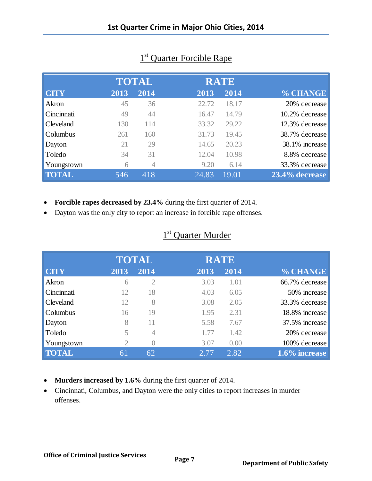|                  |      | <b>TOTAL</b>   |       | <b>RATE</b> |                |
|------------------|------|----------------|-------|-------------|----------------|
| <b>CITY</b>      | 2013 | 2014           | 2013  | 2014        | % CHANGE       |
| Akron            | 45   | 36             | 22.72 | 18.17       | 20% decrease   |
| Cincinnati       | 49   | 44             | 16.47 | 14.79       | 10.2% decrease |
| <b>Cleveland</b> | 130  | 114            | 33.32 | 29.22       | 12.3% decrease |
| <b>Columbus</b>  | 261  | 160            | 31.73 | 19.45       | 38.7% decrease |
| Dayton           | 21   | 29             | 14.65 | 20.23       | 38.1% increase |
| Toledo           | 34   | 31             | 12.04 | 10.98       | 8.8% decrease  |
| Youngstown       | 6    | $\overline{4}$ | 9.20  | 6.14        | 33.3% decrease |
| <b>TOTAL</b>     | 546  | 418            | 24.83 | 19.01       | 23.4% decrease |

## 1<sup>st</sup> Quarter Forcible Rape

- **Forcible rapes decreased by 23.4%** during the first quarter of 2014.
- Dayton was the only city to report an increase in forcible rape offenses.

|              |                | <b>TOTAL</b>     |      | <b>RATE</b> |                |
|--------------|----------------|------------------|------|-------------|----------------|
| <b>CITY</b>  | 2013           | 2014             | 2013 | 2014        | % CHANGE       |
| Akron        | 6              | $\overline{2}$   | 3.03 | 1.01        | 66.7% decrease |
| Cincinnati   | 12             | 18               | 4.03 | 6.05        | 50% increase   |
| Cleveland    | 12             | 8                | 3.08 | 2.05        | 33.3% decrease |
| Columbus     | 16             | 19               | 1.95 | 2.31        | 18.8% increase |
| Dayton       | 8              | 11               | 5.58 | 7.67        | 37.5% increase |
| Toledo       | 5              | 4                | 1.77 | 1.42        | 20% decrease   |
| Youngstown   | $\overline{2}$ | $\left( \right)$ | 3.07 | 0.00        | 100% decrease  |
| <b>TOTAL</b> | 61             | 62               | 2.77 | 2.82        | 1.6% increase  |
|              |                |                  |      |             |                |

- **Murders increased by 1.6%** during the first quarter of 2014.
- Cincinnati, Columbus, and Dayton were the only cities to report increases in murder offenses.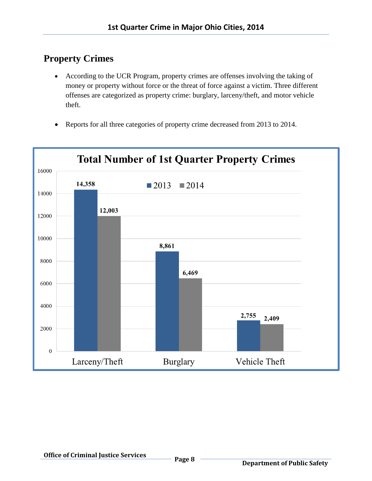## **Property Crimes**

- According to the UCR Program, property crimes are offenses involving the taking of money or property without force or the threat of force against a victim. Three different offenses are categorized as property crime: burglary, larceny/theft, and motor vehicle theft.
- Reports for all three categories of property crime decreased from 2013 to 2014.

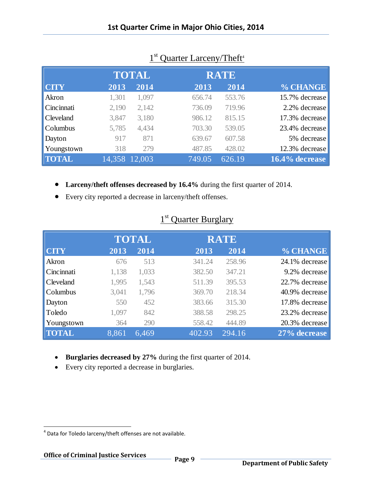|                  | <b>TOTAL</b>  |       | <b>RATE</b> |        |                |
|------------------|---------------|-------|-------------|--------|----------------|
| <b>CTY</b>       | 2013          | 2014  | 2013        | 2014   | % CHANGE       |
| Akron            | 1,301         | 1,097 | 656.74      | 553.76 | 15.7% decrease |
| Cincinnati       | 2,190         | 2,142 | 736.09      | 719.96 | 2.2% decrease  |
| <b>Cleveland</b> | 3,847         | 3,180 | 986.12      | 815.15 | 17.3% decrease |
| <b>Columbus</b>  | 5,785         | 4,434 | 703.30      | 539.05 | 23.4% decrease |
| Dayton           | 917           | 871   | 639.67      | 607.58 | 5% decrease    |
| Youngstown       | 318           | 279   | 487.85      | 428.02 | 12.3% decrease |
| <b>TOTAL</b>     | 14,358 12,003 |       | 749.05      | 626.19 | 16.4% decrease |

### 1<sup>st</sup> Quarter Larceny/Theft<sup>4</sup>

- **Larceny/theft offenses decreased by 16.4%** during the first quarter of 2014.
- Every city reported a decrease in larceny/theft offenses.

|              | <b>TOTAL</b> |       | <b>RATE</b> |        |                |
|--------------|--------------|-------|-------------|--------|----------------|
| <b>CITY</b>  | 2013         | 2014  | 2013        | 2014   | % CHANGE       |
| Akron        | 676          | 513   | 341.24      | 258.96 | 24.1% decrease |
| Cincinnati   | 1,138        | 1,033 | 382.50      | 347.21 | 9.2% decrease  |
| Cleveland    | 1,995        | 1,543 | 511.39      | 395.53 | 22.7% decrease |
| Columbus     | 3,041        | 1,796 | 369.70      | 218.34 | 40.9% decrease |
| Dayton       | 550          | 452   | 383.66      | 315.30 | 17.8% decrease |
| Toledo       | 1,097        | 842   | 388.58      | 298.25 | 23.2% decrease |
| Youngstown   | 364          | 290   | 558.42      | 444.89 | 20.3% decrease |
| <b>TOTAL</b> | 8.861        | 6,469 | 402.93      | 294.16 | 27% decrease   |

### 1<sup>st</sup> Quarter Burglary

- **Burglaries decreased by 27%** during the first quarter of 2014.
- Every city reported a decrease in burglaries.

 $\overline{\phantom{a}}$ 

<sup>&</sup>lt;sup>4</sup> Data for Toledo larceny/theft offenses are not available.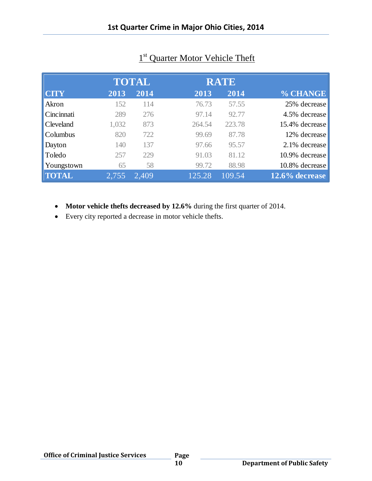|                  |       | <b>TOTAL</b> | <b>RATE</b> |        |                |
|------------------|-------|--------------|-------------|--------|----------------|
| <b>CTY</b>       | 2013  | 2014         | 2013        | 2014   | % CHANGE       |
| Akron            | 152   | 114          | 76.73       | 57.55  | 25% decrease   |
| Cincinnati       | 289   | 276          | 97.14       | 92.77  | 4.5% decrease  |
| <b>Cleveland</b> | 1,032 | 873          | 264.54      | 223.78 | 15.4% decrease |
| Columbus         | 820   | 722          | 99.69       | 87.78  | 12% decrease   |
| Dayton           | 140   | 137          | 97.66       | 95.57  | 2.1% decrease  |
| Toledo           | 257   | 229          | 91.03       | 81.12  | 10.9% decrease |
| Youngstown       | 65    | 58           | 99.72       | 88.98  | 10.8% decrease |
| <b>TOTAL</b>     | 2,755 | 2,409        | 125.28      | 109.54 | 12.6% decrease |

## 1<sup>st</sup> Quarter Motor Vehicle Theft

- **Motor vehicle thefts decreased by 12.6%** during the first quarter of 2014.
- Every city reported a decrease in motor vehicle thefts.